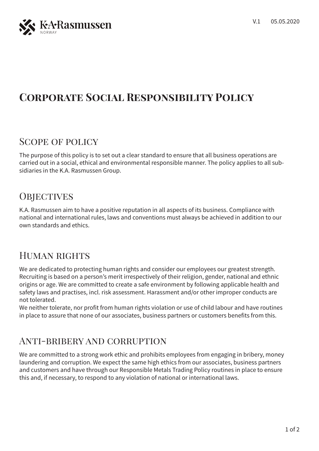

# **Corporate Social Responsibility Policy**

### Scope of policy

The purpose of this policy is to set out a clear standard to ensure that all business operations are carried out in a social, ethical and environmental responsible manner. The policy applies to all subsidiaries in the K.A. Rasmussen Group.

## **OBJECTIVES**

K.A. Rasmussen aim to have a positive reputation in all aspects of its business. Compliance with national and international rules, laws and conventions must always be achieved in addition to our own standards and ethics.

#### Human rights

We are dedicated to protecting human rights and consider our employees our greatest strength. Recruiting is based on a person's merit irrespectively of their religion, gender, national and ethnic origins or age. We are committed to create a safe environment by following applicable health and safety laws and practises, incl. risk assessment. Harassment and/or other improper conducts are not tolerated.

We neither tolerate, nor profit from human rights violation or use of child labour and have routines in place to assure that none of our associates, business partners or customers benefits from this.

## Anti-bribery and corruption

We are committed to a strong work ethic and prohibits employees from engaging in bribery, money laundering and corruption. We expect the same high ethics from our associates, business partners and customers and have through our Responsible Metals Trading Policy routines in place to ensure this and, if necessary, to respond to any violation of national or international laws.